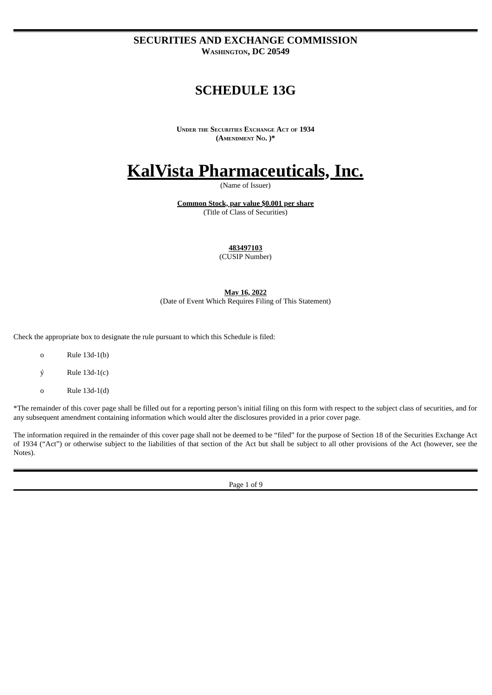**SECURITIES AND EXCHANGE COMMISSION WASHINGTON, DC 20549**

# **SCHEDULE 13G**

**UNDER THE SECURITIES EXCHANGE ACT OF 1934 (AMENDMENT NO. )\***

# **KalVista Pharmaceuticals, Inc.**

(Name of Issuer)

**Common Stock, par value \$0.001 per share** (Title of Class of Securities)

**483497103**

(CUSIP Number)

**May 16, 2022** (Date of Event Which Requires Filing of This Statement)

Check the appropriate box to designate the rule pursuant to which this Schedule is filed:

- o Rule 13d-1(b)
- $\acute{v}$  Rule 13d-1(c)
- o Rule 13d-1(d)

\*The remainder of this cover page shall be filled out for a reporting person's initial filing on this form with respect to the subject class of securities, and for any subsequent amendment containing information which would alter the disclosures provided in a prior cover page.

The information required in the remainder of this cover page shall not be deemed to be "filed" for the purpose of Section 18 of the Securities Exchange Act of 1934 ("Act") or otherwise subject to the liabilities of that section of the Act but shall be subject to all other provisions of the Act (however, see the Notes).

Page 1 of 9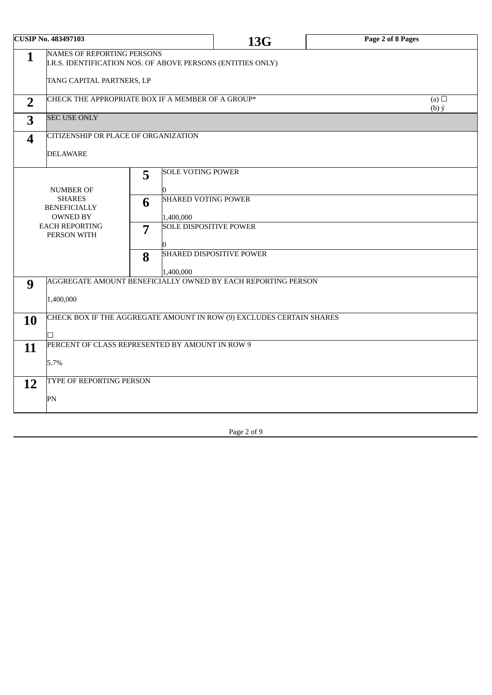| <b>CUSIP No. 483497103</b> |                                                                                                  |   |                                            | 13G                             | Page 2 of 8 Pages     |  |  |  |
|----------------------------|--------------------------------------------------------------------------------------------------|---|--------------------------------------------|---------------------------------|-----------------------|--|--|--|
| $\mathbf{1}$               | <b>NAMES OF REPORTING PERSONS</b><br>I.R.S. IDENTIFICATION NOS. OF ABOVE PERSONS (ENTITIES ONLY) |   |                                            |                                 |                       |  |  |  |
|                            | TANG CAPITAL PARTNERS, LP                                                                        |   |                                            |                                 |                       |  |  |  |
| $\overline{2}$             | CHECK THE APPROPRIATE BOX IF A MEMBER OF A GROUP*                                                |   |                                            |                                 | (a) $\Box$<br>$(b)$ ý |  |  |  |
| 3                          | <b>SEC USE ONLY</b>                                                                              |   |                                            |                                 |                       |  |  |  |
| $\boldsymbol{4}$           | CITIZENSHIP OR PLACE OF ORGANIZATION                                                             |   |                                            |                                 |                       |  |  |  |
|                            | <b>DELAWARE</b>                                                                                  |   |                                            |                                 |                       |  |  |  |
|                            |                                                                                                  | 5 | <b>SOLE VOTING POWER</b>                   |                                 |                       |  |  |  |
|                            | <b>NUMBER OF</b>                                                                                 |   |                                            |                                 |                       |  |  |  |
|                            | <b>SHARES</b><br><b>BENEFICIALLY</b>                                                             | 6 | <b>SHARED VOTING POWER</b>                 |                                 |                       |  |  |  |
|                            | <b>OWNED BY</b><br><b>EACH REPORTING</b>                                                         |   | 1,400,000<br><b>SOLE DISPOSITIVE POWER</b> |                                 |                       |  |  |  |
|                            | PERSON WITH                                                                                      | 7 |                                            |                                 |                       |  |  |  |
| 8                          |                                                                                                  |   |                                            | <b>SHARED DISPOSITIVE POWER</b> |                       |  |  |  |
|                            |                                                                                                  |   | 1,400,000                                  |                                 |                       |  |  |  |
| 9                          | AGGREGATE AMOUNT BENEFICIALLY OWNED BY EACH REPORTING PERSON                                     |   |                                            |                                 |                       |  |  |  |
|                            | 1,400,000                                                                                        |   |                                            |                                 |                       |  |  |  |
| 10                         | CHECK BOX IF THE AGGREGATE AMOUNT IN ROW (9) EXCLUDES CERTAIN SHARES                             |   |                                            |                                 |                       |  |  |  |
|                            |                                                                                                  |   |                                            |                                 |                       |  |  |  |
| 11                         | PERCENT OF CLASS REPRESENTED BY AMOUNT IN ROW 9                                                  |   |                                            |                                 |                       |  |  |  |
|                            | 5.7%                                                                                             |   |                                            |                                 |                       |  |  |  |
| 12                         | TYPE OF REPORTING PERSON                                                                         |   |                                            |                                 |                       |  |  |  |
|                            | PN                                                                                               |   |                                            |                                 |                       |  |  |  |
|                            |                                                                                                  |   |                                            |                                 |                       |  |  |  |

Page 2 of 9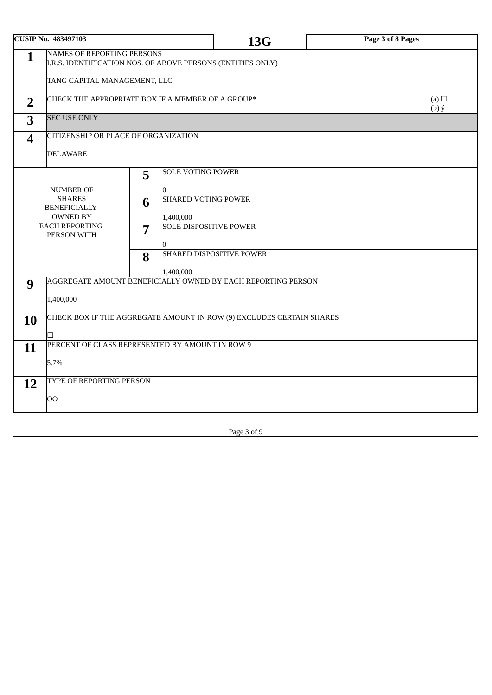| <b>CUSIP No. 483497103</b>                                                                                       |                                                                      |                |                               | 13G                             | Page 3 of 8 Pages     |  |  |  |
|------------------------------------------------------------------------------------------------------------------|----------------------------------------------------------------------|----------------|-------------------------------|---------------------------------|-----------------------|--|--|--|
| <b>NAMES OF REPORTING PERSONS</b><br>$\mathbf{1}$<br>I.R.S. IDENTIFICATION NOS. OF ABOVE PERSONS (ENTITIES ONLY) |                                                                      |                |                               |                                 |                       |  |  |  |
|                                                                                                                  | TANG CAPITAL MANAGEMENT, LLC                                         |                |                               |                                 |                       |  |  |  |
| $\overline{2}$                                                                                                   | CHECK THE APPROPRIATE BOX IF A MEMBER OF A GROUP*                    |                |                               |                                 | (a) $\Box$<br>$(b)$ ý |  |  |  |
| 3                                                                                                                | <b>SEC USE ONLY</b>                                                  |                |                               |                                 |                       |  |  |  |
| $\boldsymbol{4}$                                                                                                 | CITIZENSHIP OR PLACE OF ORGANIZATION                                 |                |                               |                                 |                       |  |  |  |
|                                                                                                                  | <b>DELAWARE</b>                                                      |                |                               |                                 |                       |  |  |  |
|                                                                                                                  |                                                                      | 5              | <b>SOLE VOTING POWER</b>      |                                 |                       |  |  |  |
|                                                                                                                  | <b>NUMBER OF</b>                                                     |                |                               |                                 |                       |  |  |  |
|                                                                                                                  | <b>SHARES</b><br><b>BENEFICIALLY</b>                                 | 6              | <b>SHARED VOTING POWER</b>    |                                 |                       |  |  |  |
|                                                                                                                  | <b>OWNED BY</b>                                                      |                | 1,400,000                     |                                 |                       |  |  |  |
|                                                                                                                  | <b>EACH REPORTING</b><br>PERSON WITH                                 | $\overline{7}$ | <b>SOLE DISPOSITIVE POWER</b> |                                 |                       |  |  |  |
|                                                                                                                  |                                                                      |                |                               |                                 |                       |  |  |  |
| 8                                                                                                                |                                                                      |                |                               | <b>SHARED DISPOSITIVE POWER</b> |                       |  |  |  |
|                                                                                                                  |                                                                      |                | 1,400,000                     |                                 |                       |  |  |  |
| 9                                                                                                                | AGGREGATE AMOUNT BENEFICIALLY OWNED BY EACH REPORTING PERSON         |                |                               |                                 |                       |  |  |  |
|                                                                                                                  | 1,400,000                                                            |                |                               |                                 |                       |  |  |  |
| 10                                                                                                               | CHECK BOX IF THE AGGREGATE AMOUNT IN ROW (9) EXCLUDES CERTAIN SHARES |                |                               |                                 |                       |  |  |  |
|                                                                                                                  |                                                                      |                |                               |                                 |                       |  |  |  |
| 11                                                                                                               | PERCENT OF CLASS REPRESENTED BY AMOUNT IN ROW 9                      |                |                               |                                 |                       |  |  |  |
|                                                                                                                  | 5.7%                                                                 |                |                               |                                 |                       |  |  |  |
| 12                                                                                                               | TYPE OF REPORTING PERSON                                             |                |                               |                                 |                       |  |  |  |
|                                                                                                                  | OO                                                                   |                |                               |                                 |                       |  |  |  |
|                                                                                                                  |                                                                      |                |                               |                                 |                       |  |  |  |

Page 3 of 9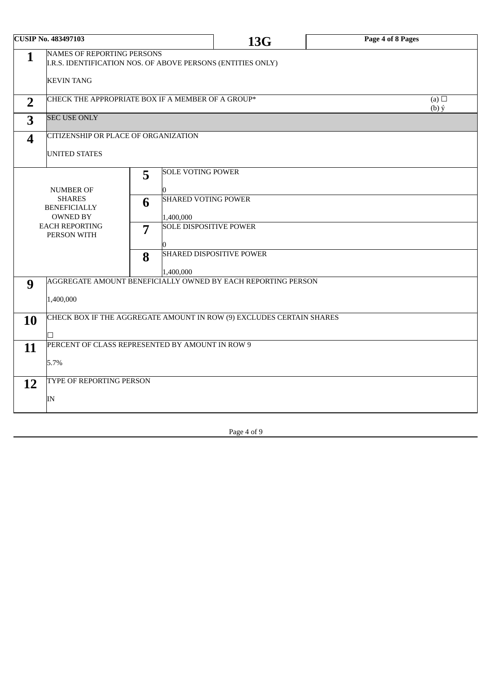| <b>CUSIP No. 483497103</b> |                                                                                                                       |   |                               | 13G | Page 4 of 8 Pages |  |  |
|----------------------------|-----------------------------------------------------------------------------------------------------------------------|---|-------------------------------|-----|-------------------|--|--|
| $\mathbf{1}$               | <b>NAMES OF REPORTING PERSONS</b><br>I.R.S. IDENTIFICATION NOS. OF ABOVE PERSONS (ENTITIES ONLY)<br><b>KEVIN TANG</b> |   |                               |     |                   |  |  |
|                            | CHECK THE APPROPRIATE BOX IF A MEMBER OF A GROUP*<br>(a) $\Box$                                                       |   |                               |     |                   |  |  |
| $\overline{2}$             |                                                                                                                       |   |                               |     | $(b)$ ý           |  |  |
| 3                          | <b>SEC USE ONLY</b>                                                                                                   |   |                               |     |                   |  |  |
| $\boldsymbol{4}$           | CITIZENSHIP OR PLACE OF ORGANIZATION                                                                                  |   |                               |     |                   |  |  |
|                            | UNITED STATES                                                                                                         |   |                               |     |                   |  |  |
|                            |                                                                                                                       | 5 | <b>SOLE VOTING POWER</b>      |     |                   |  |  |
|                            | <b>NUMBER OF</b>                                                                                                      |   |                               |     |                   |  |  |
|                            | <b>SHARES</b>                                                                                                         | 6 | <b>SHARED VOTING POWER</b>    |     |                   |  |  |
|                            | <b>BENEFICIALLY</b><br><b>OWNED BY</b>                                                                                |   | 1,400,000                     |     |                   |  |  |
|                            | <b>EACH REPORTING</b>                                                                                                 | 7 | <b>SOLE DISPOSITIVE POWER</b> |     |                   |  |  |
|                            | PERSON WITH                                                                                                           |   |                               |     |                   |  |  |
|                            |                                                                                                                       | 8 | SHARED DISPOSITIVE POWER      |     |                   |  |  |
|                            |                                                                                                                       |   |                               |     |                   |  |  |
| 9                          | 1,400,000<br>AGGREGATE AMOUNT BENEFICIALLY OWNED BY EACH REPORTING PERSON                                             |   |                               |     |                   |  |  |
|                            |                                                                                                                       |   |                               |     |                   |  |  |
|                            | 1,400,000                                                                                                             |   |                               |     |                   |  |  |
| 10                         | CHECK BOX IF THE AGGREGATE AMOUNT IN ROW (9) EXCLUDES CERTAIN SHARES                                                  |   |                               |     |                   |  |  |
|                            | П                                                                                                                     |   |                               |     |                   |  |  |
| 11                         | PERCENT OF CLASS REPRESENTED BY AMOUNT IN ROW 9                                                                       |   |                               |     |                   |  |  |
|                            | 5.7%                                                                                                                  |   |                               |     |                   |  |  |
|                            |                                                                                                                       |   |                               |     |                   |  |  |
| 12                         | TYPE OF REPORTING PERSON                                                                                              |   |                               |     |                   |  |  |
|                            | IN                                                                                                                    |   |                               |     |                   |  |  |
|                            |                                                                                                                       |   |                               |     |                   |  |  |

Page 4 of 9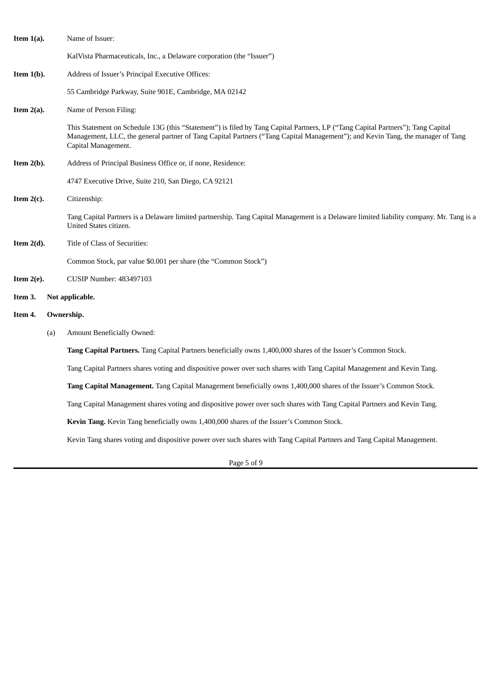| Item $1(a)$ . |            | Name of Issuer:                                                                                                                                                                                                                                                                          |  |  |  |  |  |  |
|---------------|------------|------------------------------------------------------------------------------------------------------------------------------------------------------------------------------------------------------------------------------------------------------------------------------------------|--|--|--|--|--|--|
|               |            | KalVista Pharmaceuticals, Inc., a Delaware corporation (the "Issuer")                                                                                                                                                                                                                    |  |  |  |  |  |  |
| Item $1(b)$ . |            | Address of Issuer's Principal Executive Offices:                                                                                                                                                                                                                                         |  |  |  |  |  |  |
|               |            | 55 Cambridge Parkway, Suite 901E, Cambridge, MA 02142                                                                                                                                                                                                                                    |  |  |  |  |  |  |
| Item $2(a)$ . |            | Name of Person Filing:                                                                                                                                                                                                                                                                   |  |  |  |  |  |  |
|               |            | This Statement on Schedule 13G (this "Statement") is filed by Tang Capital Partners, LP ("Tang Capital Partners"); Tang Capital<br>Management, LLC, the general partner of Tang Capital Partners ("Tang Capital Management"); and Kevin Tang, the manager of Tang<br>Capital Management. |  |  |  |  |  |  |
| Item $2(b)$ . |            | Address of Principal Business Office or, if none, Residence:                                                                                                                                                                                                                             |  |  |  |  |  |  |
|               |            | 4747 Executive Drive, Suite 210, San Diego, CA 92121                                                                                                                                                                                                                                     |  |  |  |  |  |  |
| Item $2(c)$ . |            | Citizenship:                                                                                                                                                                                                                                                                             |  |  |  |  |  |  |
|               |            | Tang Capital Partners is a Delaware limited partnership. Tang Capital Management is a Delaware limited liability company. Mr. Tang is a<br>United States citizen.                                                                                                                        |  |  |  |  |  |  |
| Item $2(d)$ . |            | Title of Class of Securities:                                                                                                                                                                                                                                                            |  |  |  |  |  |  |
|               |            | Common Stock, par value \$0.001 per share (the "Common Stock")                                                                                                                                                                                                                           |  |  |  |  |  |  |
| Item $2(e)$ . |            | CUSIP Number: 483497103                                                                                                                                                                                                                                                                  |  |  |  |  |  |  |
| Item 3.       |            | Not applicable.                                                                                                                                                                                                                                                                          |  |  |  |  |  |  |
| Item 4.       | Ownership. |                                                                                                                                                                                                                                                                                          |  |  |  |  |  |  |
|               | (a)        | <b>Amount Beneficially Owned:</b>                                                                                                                                                                                                                                                        |  |  |  |  |  |  |
|               |            | Tang Capital Partners. Tang Capital Partners beneficially owns 1,400,000 shares of the Issuer's Common Stock.                                                                                                                                                                            |  |  |  |  |  |  |
|               |            | Tang Capital Partners shares voting and dispositive power over such shares with Tang Capital Management and Kevin Tang.                                                                                                                                                                  |  |  |  |  |  |  |
|               |            | Tang Capital Management. Tang Capital Management beneficially owns 1,400,000 shares of the Issuer's Common Stock.                                                                                                                                                                        |  |  |  |  |  |  |
|               |            | Tang Capital Management shares voting and dispositive power over such shares with Tang Capital Partners and Kevin Tang.                                                                                                                                                                  |  |  |  |  |  |  |
|               |            | Kevin Tang. Kevin Tang beneficially owns 1,400,000 shares of the Issuer's Common Stock.                                                                                                                                                                                                  |  |  |  |  |  |  |
|               |            | Kevin Tang shares voting and dispositive power over such shares with Tang Capital Partners and Tang Capital Management.                                                                                                                                                                  |  |  |  |  |  |  |

Page 5 of 9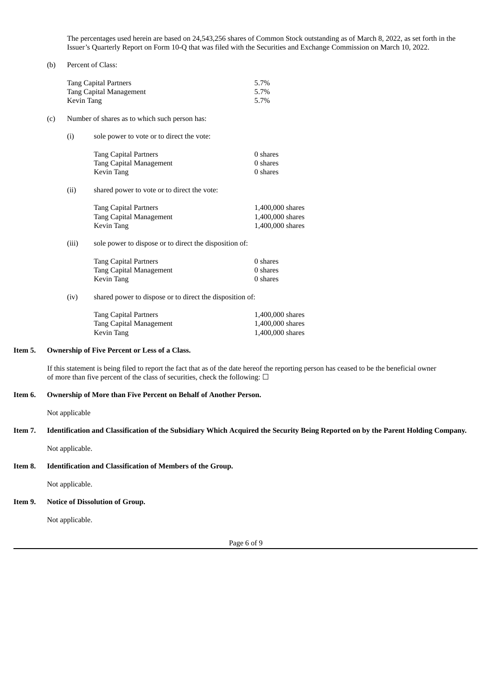The percentages used herein are based on 24,543,256 shares of Common Stock outstanding as of March 8, 2022, as set forth in the Issuer's Quarterly Report on Form 10-Q that was filed with the Securities and Exchange Commission on March 10, 2022.

#### (b) Percent of Class:

|     | <b>Tang Capital Partners</b><br><b>Tang Capital Management</b><br><b>Kevin Tang</b> | 5.7%<br>5.7%<br>5.7%                                                                |                                                          |  |  |  |
|-----|-------------------------------------------------------------------------------------|-------------------------------------------------------------------------------------|----------------------------------------------------------|--|--|--|
| (c) | Number of shares as to which such person has:                                       |                                                                                     |                                                          |  |  |  |
|     | (i)                                                                                 | sole power to vote or to direct the vote:                                           |                                                          |  |  |  |
|     |                                                                                     | <b>Tang Capital Partners</b><br><b>Tang Capital Management</b><br>Kevin Tang        | 0 shares<br>0 shares<br>0 shares                         |  |  |  |
|     | (ii)                                                                                | shared power to vote or to direct the vote:                                         |                                                          |  |  |  |
|     |                                                                                     | <b>Tang Capital Partners</b><br><b>Tang Capital Management</b><br>Kevin Tang        | 1,400,000 shares<br>1,400,000 shares<br>1,400,000 shares |  |  |  |
|     | (iii)                                                                               | sole power to dispose or to direct the disposition of:                              |                                                          |  |  |  |
|     |                                                                                     | <b>Tang Capital Partners</b><br><b>Tang Capital Management</b><br><b>Kevin Tang</b> | 0 shares<br>0 shares<br>0 shares                         |  |  |  |
|     | (iv)                                                                                | shared power to dispose or to direct the disposition of:                            |                                                          |  |  |  |
|     |                                                                                     | <b>Tang Capital Partners</b><br><b>Tang Capital Management</b><br>Kevin Tang        | 1,400,000 shares<br>1,400,000 shares<br>1,400,000 shares |  |  |  |

# **Item 5. Ownership of Five Percent or Less of a Class.**

If this statement is being filed to report the fact that as of the date hereof the reporting person has ceased to be the beneficial owner of more than five percent of the class of securities, check the following:  $\Box$ 

# **Item 6. Ownership of More than Five Percent on Behalf of Another Person.**

Not applicable

# Item 7. Identification and Classification of the Subsidiary Which Acquired the Security Being Reported on by the Parent Holding Company.

Not applicable.

#### **Item 8. Identification and Classification of Members of the Group.**

Not applicable.

#### **Item 9. Notice of Dissolution of Group.**

Not applicable.

Page 6 of 9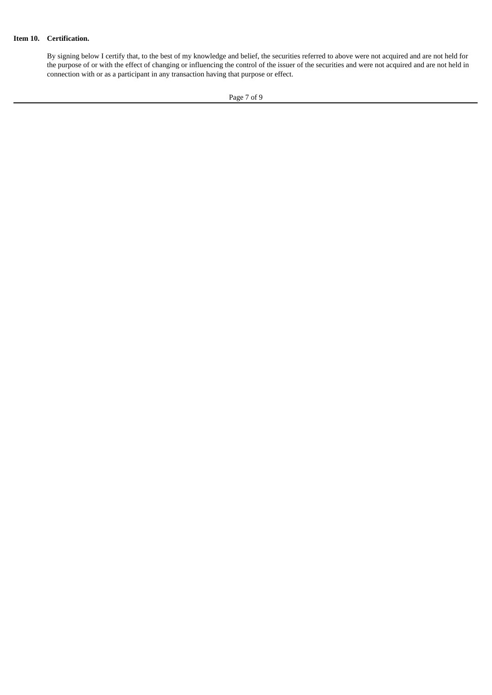# **Item 10. Certification.**

By signing below I certify that, to the best of my knowledge and belief, the securities referred to above were not acquired and are not held for the purpose of or with the effect of changing or influencing the control of the issuer of the securities and were not acquired and are not held in connection with or as a participant in any transaction having that purpose or effect.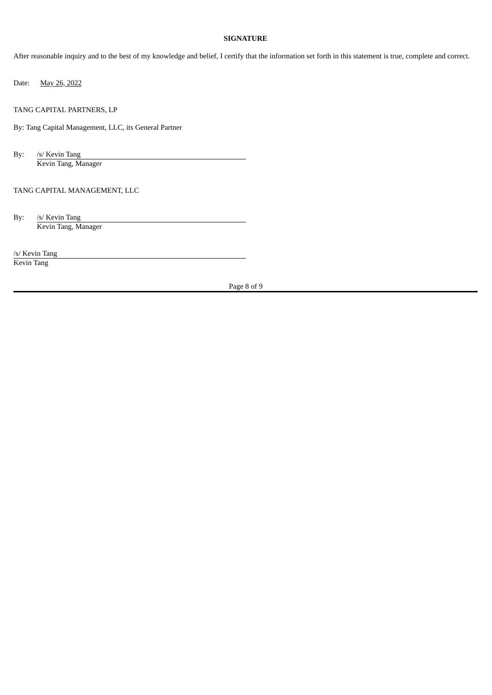# **SIGNATURE**

After reasonable inquiry and to the best of my knowledge and belief, I certify that the information set forth in this statement is true, complete and correct.

Date: May 26, 2022

TANG CAPITAL PARTNERS, LP

By: Tang Capital Management, LLC, its General Partner

By: /s/ Kevin Tang Kevin Tang, Manager

# TANG CAPITAL MANAGEMENT, LLC

By: /s/ Kevin Tang Kevin Tang, Manager

/s/ Kevin Tang

Kevin Tang

Page 8 of 9